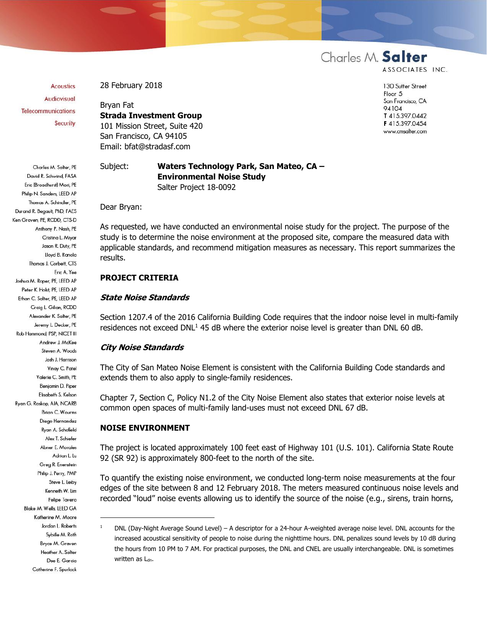**Acoustics Audiovisual Telecommunications** Security

Charles M. Salter, PE

28 February 2018

Bryan Fat **Strada Investment Group** 101 Mission Street, Suite 420 San Francisco, CA 94105 Email: bfat@stradasf.com

# Subject: **Waters Technology Park, San Mateo, CA – Environmental Noise Study** Salter Project 18-0092

Dear Bryan:

As requested, we have conducted an environmental noise study for the project. The purpose of the study is to determine the noise environment at the proposed site, compare the measured data with applicable standards, and recommend mitigation measures as necessary. This report summarizes the results.

# **PROJECT CRITERIA**

### **State Noise Standards**

Section 1207.4 of the 2016 California Building Code requires that the indoor noise level in multi-family residences not exceed DNL<sup>1</sup> 45 dB where the exterior noise level is greater than DNL 60 dB.

## **City Noise Standards**

The City of San Mateo Noise Element is consistent with the California Building Code standards and extends them to also apply to single-family residences.

Chapter 7, Section C, Policy N1.2 of the City Noise Element also states that exterior noise levels at common open spaces of multi-family land-uses must not exceed DNL 67 dB.

### **NOISE ENVIRONMENT**

-

The project is located approximately 100 feet east of Highway 101 (U.S. 101). California State Route 92 (SR 92) is approximately 800-feet to the north of the site.

To quantify the existing noise environment, we conducted long-term noise measurements at the four edges of the site between 8 and 12 February 2018. The meters measured continuous noise levels and recorded "loud" noise events allowing us to identify the source of the noise (e.g., sirens, train horns,

David R. Schwind, FASA Eric (Broadhurst) Mori, PE Philip N. Sanders, LEED AP Thomas A. Schindler, PE Durand R. Begault, PhD, FAES Ken Graven, PE, RCDD, CTS-D Anthony P. Nash, PE Cristina L. Miyar Jason R. Duty, PE Lloyd B. Ranola Thomas J. Corbett CTS Eric A. Yee Joshua M. Roper, PE, LEED AP Peter K. Holst, PE, LEED AP Ethan C. Salter, PE, LEED AP Craig L. Gilian, RCDD Alexander K. Salter, PE Jeremy L. Decker, PE Rob Hammond, PSP, NICET III Andrew J. McKee Steven A. Woods Josh J. Harrison Vinay C. Patel Valerie C. Smith, PE Benjamin D. Piper Elisabeth S. Kelson Ryan G. Raskop, AIA, NCARB **Brian C. Wourms** Diego Hernandez Ryan A. Schofield Alex T. Schiefer Abner E. Morales Adrian L. Lu Greg R. Enenstein Philip J. Perry, PMP Steve L. Leiby Kenneth W. Lim Felipe Tavera Blake M. Wells, LEED GA Katherine M. Moore Jordan L. Roberts Sybille M. Roth Bryce M. Graven Heather A. Salter Dee E. Garcia Catherine F. Spurlock

Charles M. Salter

ASSOCIATES INC.

130 Sutter Street Floor 5 San Francisco, CA 94104 T 415.397.0442 F415.397.0454 www.cmsalter.com

 $1 -$  DNL (Day-Night Average Sound Level) – A descriptor for a 24-hour A-weighted average noise level. DNL accounts for the increased acoustical sensitivity of people to noise during the nighttime hours. DNL penalizes sound levels by 10 dB during the hours from 10 PM to 7 AM. For practical purposes, the DNL and CNEL are usually interchangeable. DNL is sometimes written as Ldn.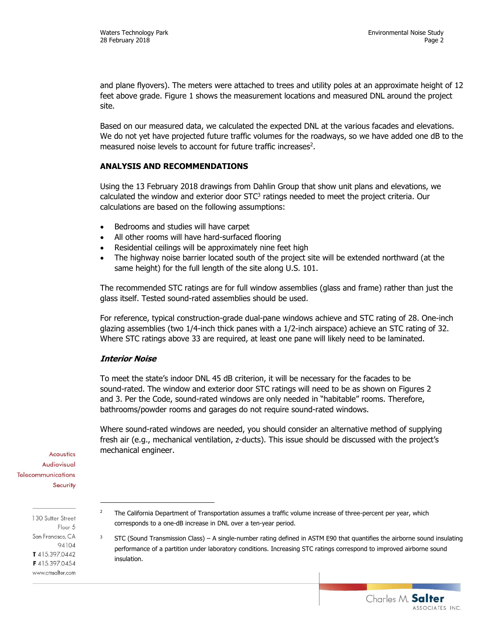Charles M. Salter

ASSOCIATES INC.

and plane flyovers). The meters were attached to trees and utility poles at an approximate height of 12 feet above grade. Figure 1 shows the measurement locations and measured DNL around the project site.

Based on our measured data, we calculated the expected DNL at the various facades and elevations. We do not yet have projected future traffic volumes for the roadways, so we have added one dB to the measured noise levels to account for future traffic increases<sup>2</sup>.

# **ANALYSIS AND RECOMMENDATIONS**

Using the 13 February 2018 drawings from Dahlin Group that show unit plans and elevations, we calculated the window and exterior door  $STC<sup>3</sup>$  ratings needed to meet the project criteria. Our calculations are based on the following assumptions:

- Bedrooms and studies will have carpet
- All other rooms will have hard-surfaced flooring
- Residential ceilings will be approximately nine feet high
- The highway noise barrier located south of the project site will be extended northward (at the same height) for the full length of the site along U.S. 101.

The recommended STC ratings are for full window assemblies (glass and frame) rather than just the glass itself. Tested sound-rated assemblies should be used.

For reference, typical construction-grade dual-pane windows achieve and STC rating of 28. One-inch glazing assemblies (two 1/4-inch thick panes with a 1/2-inch airspace) achieve an STC rating of 32. Where STC ratings above 33 are required, at least one pane will likely need to be laminated.

## **Interior Noise**

To meet the state's indoor DNL 45 dB criterion, it will be necessary for the facades to be sound-rated. The window and exterior door STC ratings will need to be as shown on Figures 2 and 3. Per the Code, sound-rated windows are only needed in "habitable" rooms. Therefore, bathrooms/powder rooms and garages do not require sound-rated windows.

Where sound-rated windows are needed, you should consider an alternative method of supplying fresh air (e.g., mechanical ventilation, z-ducts). This issue should be discussed with the project's mechanical engineer.

Acoustics Audiovisual **Telecommunications** Security

> 130 Sutter Street Floor 5 San Francisco, CA 94104 T415.397.0442 F4153970454 www.cmsalter.com

-

- <sup>2</sup> The California Department of Transportation assumes a traffic volume increase of three-percent per year, which corresponds to a one-dB increase in DNL over a ten-year period.
- $3$  STC (Sound Transmission Class) A single-number rating defined in ASTM E90 that quantifies the airborne sound insulating performance of a partition under laboratory conditions. Increasing STC ratings correspond to improved airborne sound insulation.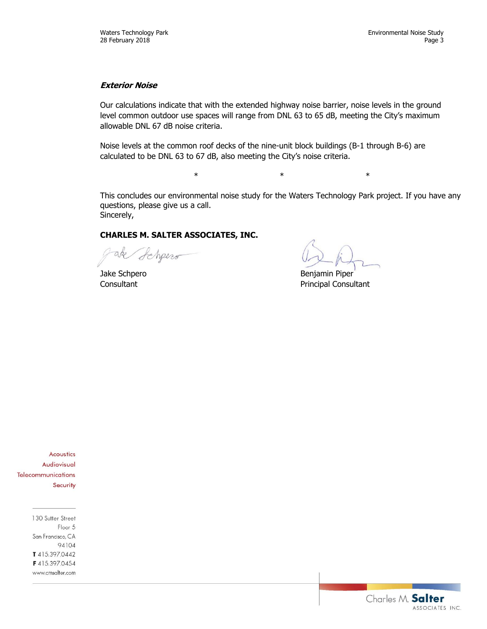# **Exterior Noise**

Our calculations indicate that with the extended highway noise barrier, noise levels in the ground level common outdoor use spaces will range from DNL 63 to 65 dB, meeting the City's maximum allowable DNL 67 dB noise criteria.

Noise levels at the common roof decks of the nine-unit block buildings (B-1 through B-6) are calculated to be DNL 63 to 67 dB, also meeting the City's noise criteria.

This concludes our environmental noise study for the Waters Technology Park project. If you have any questions, please give us a call. Sincerely,

 $\ast$   $\ast$   $\ast$ 

# **CHARLES M. SALTER ASSOCIATES, INC.**

Schpero

Jake Schpero **Benjamin** Piper Consultant **Principal Consultant** 

Acoustics Audiovisual Telecommunications Security

> 130 Sutter Street Floor 5 San Francisco, CA 94104 T415.397.0442 F415.397.0454 www.cmsalter.com

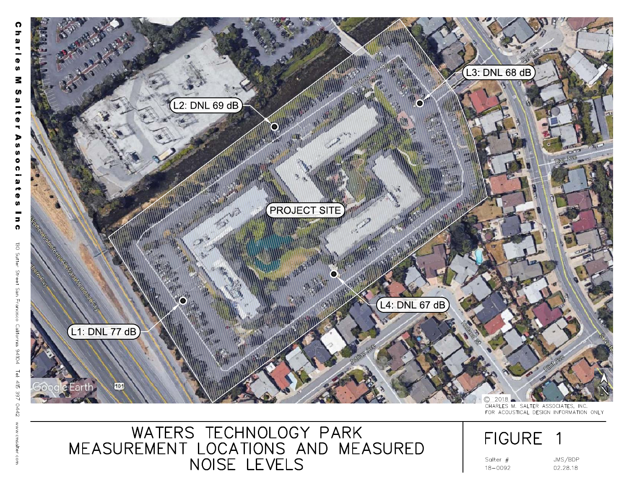

WATERS TECHNOLOGY PARK<br>MEASUREMENT LOCATIONS AND MEASURED<br>NOISE LEVELS

# **FIGURE**

Salter  $#$  $18 - 0092$ 

JMS/BDP 02.28.18

1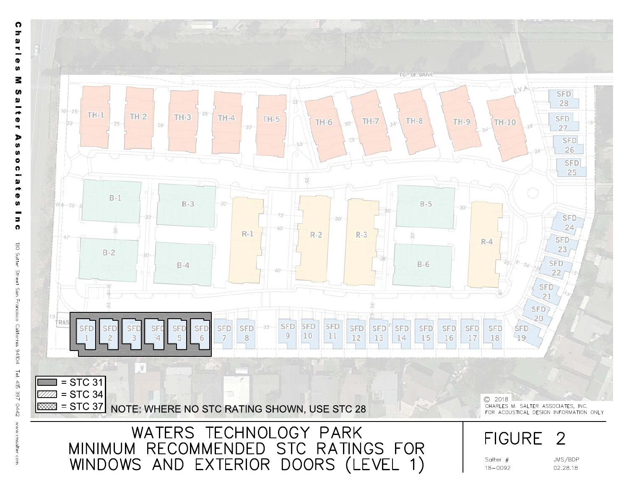

ဂ  $\overline{r}$  $\pmb{\omega}$ ч. ÷  $\bullet$ **U** Μ S  $\pmb{\omega}$  $\rightarrow$ Ø ۰ Þ **SD** w  $\bullet$ o m.  $\pmb{\omega}$  $\rightarrow$ Φ **SD**  $\blacksquare$  $\bullet$ 130 Sutter Street San Francisco California 94104 Tel: 415 397 0442